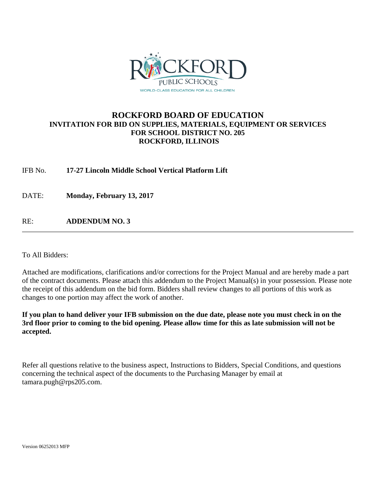

## **ROCKFORD BOARD OF EDUCATION INVITATION FOR BID ON SUPPLIES, MATERIALS, EQUIPMENT OR SERVICES FOR SCHOOL DISTRICT NO. 205 ROCKFORD, ILLINOIS**

IFB No. **17-27 Lincoln Middle School Vertical Platform Lift**

DATE: **Monday, February 13, 2017**

RE: **ADDENDUM NO. 3**

To All Bidders:

Attached are modifications, clarifications and/or corrections for the Project Manual and are hereby made a part of the contract documents. Please attach this addendum to the Project Manual(s) in your possession. Please note the receipt of this addendum on the bid form. Bidders shall review changes to all portions of this work as changes to one portion may affect the work of another.

**If you plan to hand deliver your IFB submission on the due date, please note you must check in on the 3rd floor prior to coming to the bid opening. Please allow time for this as late submission will not be accepted.**

Refer all questions relative to the business aspect, Instructions to Bidders, Special Conditions, and questions concerning the technical aspect of the documents to the Purchasing Manager by email at tamara.pugh@rps205.com.